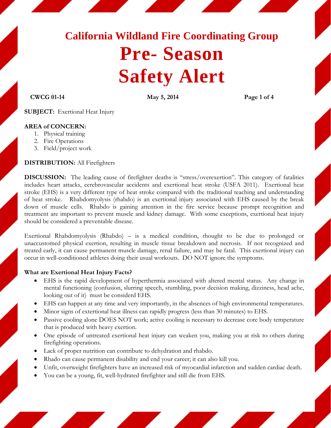# **California Wildland Fire Coordinating Group Pre- Season Safety Alert**

#### **CWCG 01-14 May 5, 2014 Page 1 of 4**

**SUBJECT:** Exertional Heat Injury

## **AREA of CONCERN:**

- 1. Physical training
- 2. Fire Operations
- 3. Field/project work

#### **DISTRIBUTION:** All Firefighters

**DISCUSSION:** The leading cause of firefighter deaths is "stress/overexertion". This category of fatalities includes heart attacks, cerebrovascular accidents and exertional heat stroke (USFA 2011). Exertional heat stroke (EHS) is a very different type of heat stroke compared with the traditional teaching and understanding of heat stroke. Rhabdomyolysis (rhabdo) is an exertional injury associated with EHS caused by the break down of muscle cells. Rhabdo is gaining attention in the fire service because prompt recognition and treatment are important to prevent muscle and kidney damage. With some exceptions, exertional heat injury should be considered a preventable disease.

Exertional Rhabdomyolysis (Rhabdo) – is a medical condition, thought to be due to prolonged or unaccustomed physical exertion, resulting in muscle tissue breakdown and necrosis. If not recognized and treated early, it can cause permanent muscle damage, renal failure, and may be fatal. This exertional injury can occur in well-conditioned athletes doing their usual workouts. DO NOT ignore the symptoms.

#### **What are Exertional Heat Injury Facts?**

- EHS is the rapid development of hyperthermia associated with altered mental status. Any change in mental functioning (confusion, slurring speech, stumbling, poor decision making, dizziness, head ache, looking out of it) must be considerd EHS.
- EHS can happen at any time and very importantly, in the absences of high environmental temperatures.
- Minor signs of extertional heat illness can rapidly progress (less than 30 minutes) to EHS.
- Passive cooling alone DOES NOT work; active cooling is necessary to decrease core body temperature that is produced with heavy exertion.
- One episode of untreated exertional heat injury can weaken you, making you at risk to others during firefighting operations.
- Lack of proper nutrition can contribute to dehydration and rhabdo.
- Rhado can cause permanent disability and end your career; it can also kill you.
- Unfit, overweight firefighters have an increased risk of myocardial infarction and sudden cardiac death.
- You can be a young, fit, well-hydrated firefighter and still die from EHS.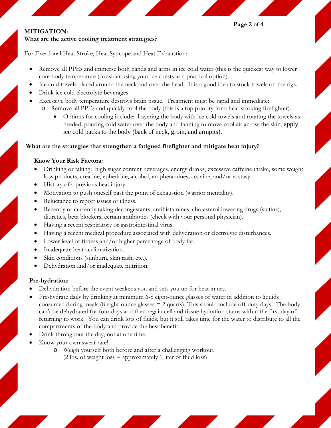**Page 2 of 4** 

#### **MITIGATION: What are the active cooling treatment strategies?**

For Exertional Heat Stroke, Heat Syncope and Heat Exhaustion:

- Remove all PPEs and immerse both hands and arms in ice cold water (this is the quickest way to lower core body temperature (consider using your ice chests as a practical option).
- Ice cold towels placed around the neck and over the head. It is a good idea to stock towels on the rigs.
- Drink ice cold electrolyte beverages.

- Excessive body temperature destroys brain tissue. Treatment must be rapid and immediate:
	- o Remove all PPEs and quickly cool the body (this is a top priority for a heat stroking firefighter).
		- Options for cooling include: Layering the body with ice cold towels and rotating the towels as needed; pouring cold water over the body and fanning to move cool air across the skin, apply ice cold packs to the body (back of neck, groin, and armpits).

# **What are the strategies that strengthen a fatigued firefighter and mitigate heat injury?**

# **Know Your Risk Factors:**

- Drinking or taking: high sugar content beverages, energy drinks, excessive caffeine intake, some weight loss products, creatine, ephedrine, alcohol, amphetamines, cocaine, and/or ecstasy.
- History of a previous heat injury.
- Motivation to push oneself past the point of exhaustion (warrior mentality).
- Reluctance to report issues or illness.
- Recently or currently taking decongestants, antihistamines, cholesterol lowering drugs (statins), diuretics, beta blockers, certain antibiotics (check with your personal physician).
- Having a recent respiratory or gastrointestinal virus.
- Having a recent medical procedure associated with dehydration or electrolyte disturbances.
- Lower level of fitness and/or higher percentage of body fat.
- Inadequate heat acclimatization.
- Skin conditions (sunburn, skin rash, etc.).
- Dehydration and/or inadequate nutrition.

# **Pre-hydration:**

- Dehydration before the event weakens you and sets you up for heat injury.
- Pre-hydrate daily by drinking at minimum 6-8 eight-ounce glasses of water in addition to liquids consumed during meals (8 eight-ounce glasses  $= 2$  quarts). This should include off-duty days. The body can't be dehydrated for four days and then regain cell and tissue hydration status within the first day of returning to work. You can drink lots of fluids, but it still takes time for the water to distribute to all the compartments of the body and provide the best benefit.
- Drink throughout the day, not at one time.
- Know your own sweat rate!
	- o Weigh yourself both before and after a challenging workout.  $(2 \text{ lbs. of weight loss} = approximately 1 \text{ liter of fluid loss})$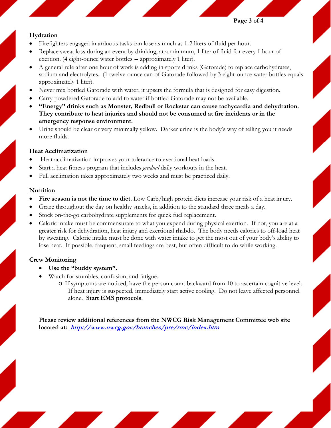**Page 3 of 4 Page 3 of 4** 

#### **Hydration**

- Firefighters engaged in arduous tasks can lose as much as 1-2 liters of fluid per hour.
- Replace sweat loss during an event by drinking, at a minimum, 1 liter of fluid for every 1 hour of exertion. (4 eight-ounce water bottles  $=$  approximately 1 liter).
- A general rule after one hour of work is adding in sports drinks (Gatorade) to replace carbohydrates, sodium and electrolytes. (1 twelve-ounce can of Gatorade followed by 3 eight-ounce water bottles equals approximately 1 liter).
- Never mix bottled Gatorade with water; it upsets the formula that is designed for easy digestion.
- Carry powdered Gatorade to add to water if bottled Gatorade may not be available.
- **"Energy" drinks such as Monster, Redbull or Rockstar can cause tachycardia and dehydration. They contribute to heat injuries and should not be consumed at fire incidents or in the emergency response environment.**
- Urine should be clear or very minimally yellow. Darker urine is the body's way of telling you it needs more fluids.

## **Heat Acclimatization**

- Heat acclimatization improves your tolerance to exertional heat loads.
- Start a heat fitness program that includes *gradual* daily workouts in the heat.
- Full acclimation takes approximately two weeks and must be practiced daily.

#### **Nutrition**

- Fire season is not the time to diet. Low Carb/high protein diets increase your risk of a heat injury.
- Graze throughout the day on healthy snacks, in addition to the standard three meals a day.
- Stock on-the-go carbohydrate supplements for quick fuel replacement.
- Caloric intake must be commensurate to what you expend during physical exertion. If not, you are at a greater risk for dehydration, heat injury and exertional rhabdo. The body needs calories to off-load heat by sweating. Calorie intake must be done with water intake to get the most out of your body's ability to lose heat. If possible, frequent, small feedings are best, but often difficult to do while working.

# **Crew Monitoring**

- **Use the "buddy system".**
- Watch for stumbles, confusion, and fatigue.
	- o If symptoms are noticed, have the person count backward from 10 to ascertain cognitive level. If heat injury is suspected, immediately start active cooling. Do not leave affected personnel alone. **Start EMS protocols**.

**Please review additional references from the NWCG Risk Management Committee web site located at: http://www.nwcg.gov/branches/pre/rmc/index.htm**